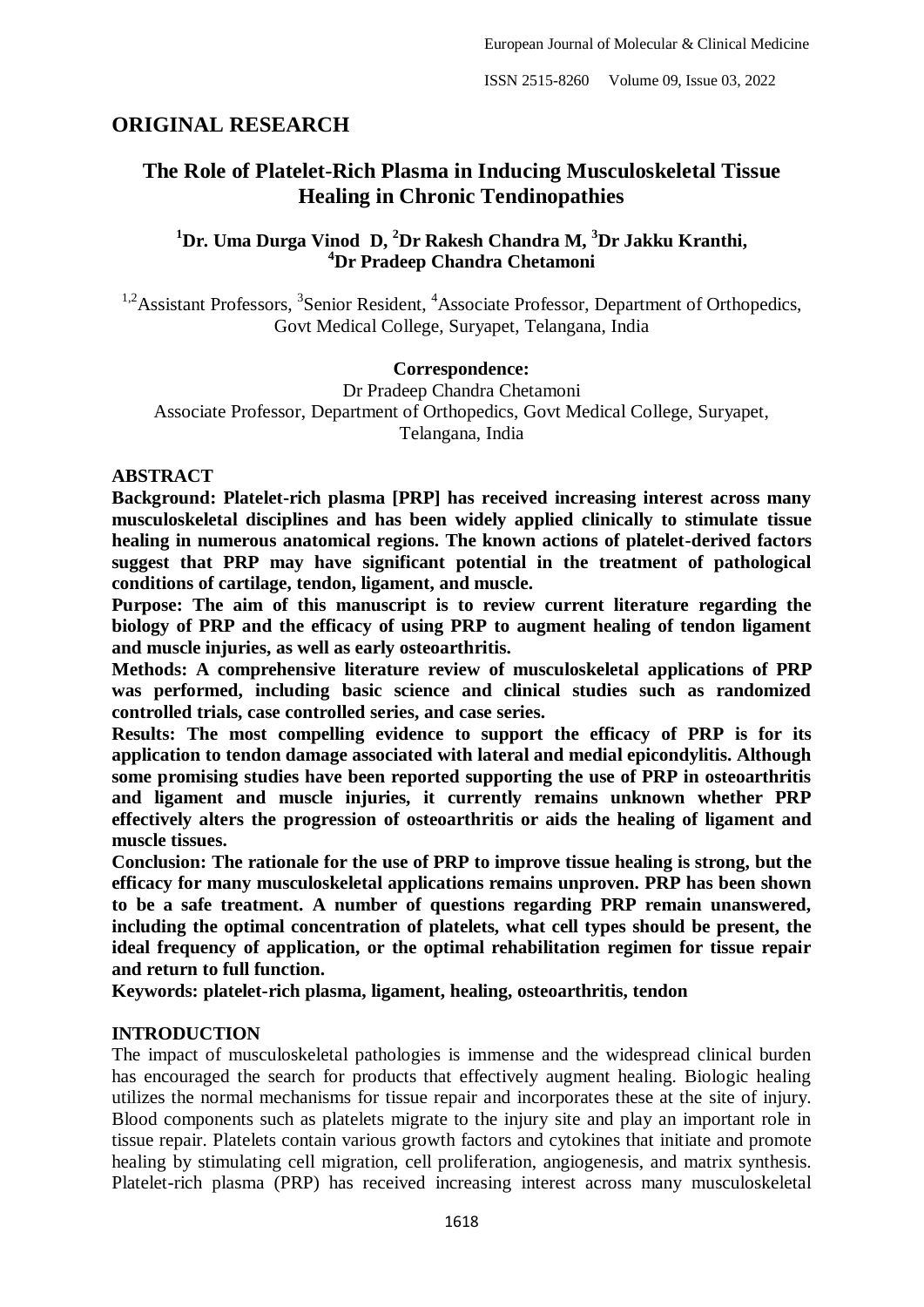# **ORIGINAL RESEARCH**

# **The Role of Platelet-Rich Plasma in Inducing Musculoskeletal Tissue Healing in Chronic Tendinopathies**

# **<sup>1</sup>Dr. Uma Durga Vinod D, <sup>2</sup>Dr Rakesh Chandra M, <sup>3</sup>Dr Jakku Kranthi, <sup>4</sup>Dr Pradeep Chandra Chetamoni**

<sup>1,2</sup> Assistant Professors, <sup>3</sup> Senior Resident, <sup>4</sup> Associate Professor, Department of Orthopedics, Govt Medical College, Suryapet, Telangana, India

#### **Correspondence:**

Dr Pradeep Chandra Chetamoni Associate Professor, Department of Orthopedics, Govt Medical College, Suryapet, Telangana, India

#### **ABSTRACT**

**Background: Platelet-rich plasma [PRP] has received increasing interest across many musculoskeletal disciplines and has been widely applied clinically to stimulate tissue healing in numerous anatomical regions. The known actions of platelet-derived factors suggest that PRP may have significant potential in the treatment of pathological conditions of cartilage, tendon, ligament, and muscle.**

**Purpose: The aim of this manuscript is to review current literature regarding the biology of PRP and the efficacy of using PRP to augment healing of tendon ligament and muscle injuries, as well as early osteoarthritis.**

**Methods: A comprehensive literature review of musculoskeletal applications of PRP was performed, including basic science and clinical studies such as randomized controlled trials, case controlled series, and case series.**

**Results: The most compelling evidence to support the efficacy of PRP is for its application to tendon damage associated with lateral and medial epicondylitis. Although some promising studies have been reported supporting the use of PRP in osteoarthritis and ligament and muscle injuries, it currently remains unknown whether PRP effectively alters the progression of osteoarthritis or aids the healing of ligament and muscle tissues.**

**Conclusion: The rationale for the use of PRP to improve tissue healing is strong, but the efficacy for many musculoskeletal applications remains unproven. PRP has been shown to be a safe treatment. A number of questions regarding PRP remain unanswered, including the optimal concentration of platelets, what cell types should be present, the ideal frequency of application, or the optimal rehabilitation regimen for tissue repair and return to full function.**

**Keywords: platelet-rich plasma, ligament, healing, osteoarthritis, tendon**

#### **INTRODUCTION**

The impact of musculoskeletal pathologies is immense and the widespread clinical burden has encouraged the search for products that effectively augment healing. Biologic healing utilizes the normal mechanisms for tissue repair and incorporates these at the site of injury. Blood components such as platelets migrate to the injury site and play an important role in tissue repair. Platelets contain various growth factors and cytokines that initiate and promote healing by stimulating cell migration, cell proliferation, angiogenesis, and matrix synthesis. Platelet-rich plasma (PRP) has received increasing interest across many musculoskeletal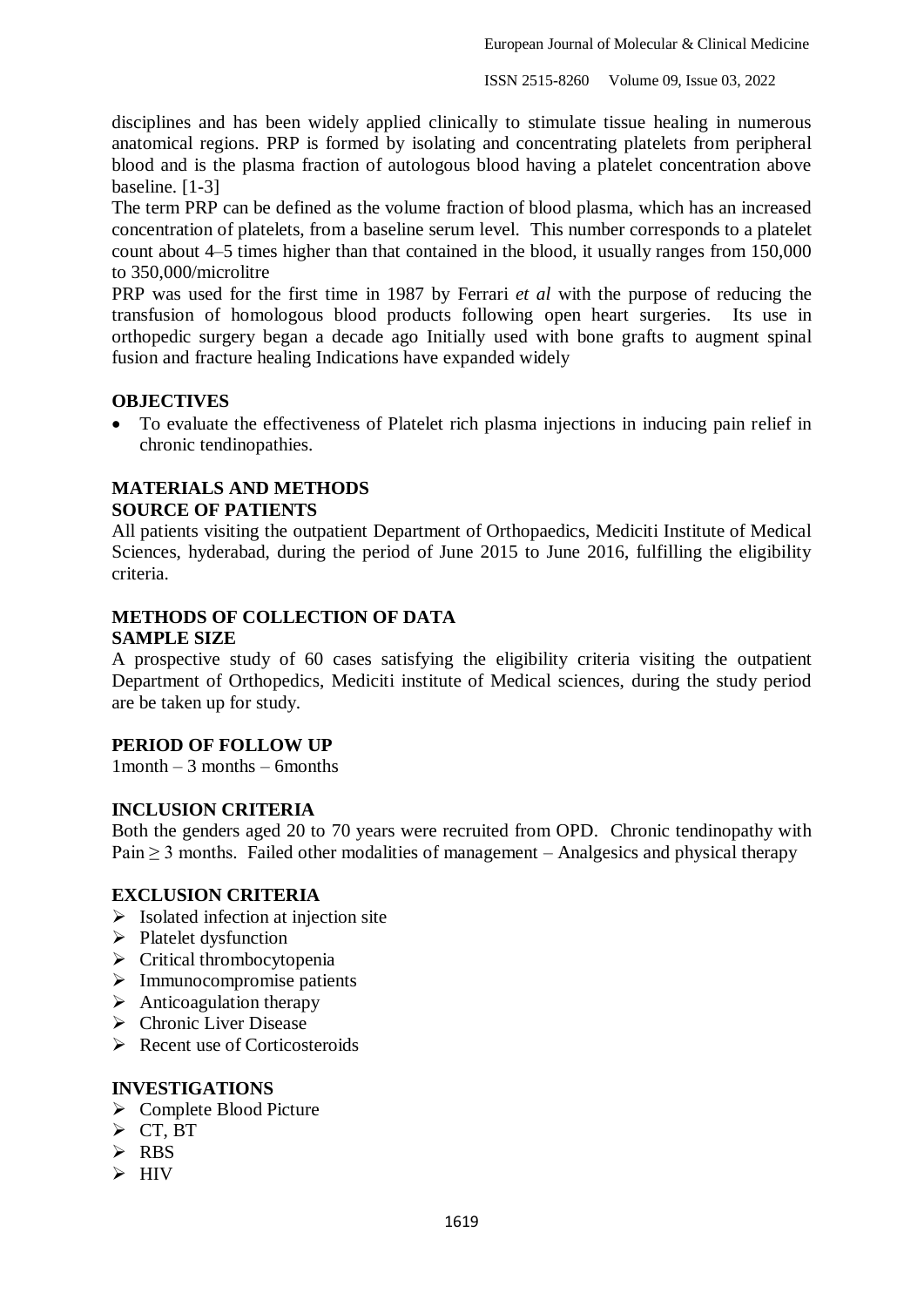disciplines and has been widely applied clinically to stimulate tissue healing in numerous anatomical regions. PRP is formed by isolating and concentrating platelets from peripheral blood and is the plasma fraction of autologous blood having a platelet concentration above baseline. [1-3]

The term PRP can be defined as the volume fraction of blood plasma, which has an increased concentration of platelets, from a baseline serum level. This number corresponds to a platelet count about 4–5 times higher than that contained in the blood, it usually ranges from 150,000 to 350,000/microlitre

PRP was used for the first time in 1987 by Ferrari *et al* with the purpose of reducing the transfusion of homologous blood products following open heart surgeries. Its use in orthopedic surgery began a decade ago Initially used with bone grafts to augment spinal fusion and fracture healing Indications have expanded widely

#### **OBJECTIVES**

 To evaluate the effectiveness of Platelet rich plasma injections in inducing pain relief in chronic tendinopathies.

# **MATERIALS AND METHODS**

#### **SOURCE OF PATIENTS**

All patients visiting the outpatient Department of Orthopaedics, Mediciti Institute of Medical Sciences, hyderabad, during the period of June 2015 to June 2016, fulfilling the eligibility criteria.

### **METHODS OF COLLECTION OF DATA SAMPLE SIZE**

A prospective study of 60 cases satisfying the eligibility criteria visiting the outpatient Department of Orthopedics, Mediciti institute of Medical sciences, during the study period are be taken up for study.

#### **PERIOD OF FOLLOW UP**

 $1$  month  $-3$  months  $-6$  months

#### **INCLUSION CRITERIA**

Both the genders aged 20 to 70 years were recruited from OPD. Chronic tendinopathy with Pain  $\geq$  3 months. Failed other modalities of management – Analgesics and physical therapy

#### **EXCLUSION CRITERIA**

- $\triangleright$  Isolated infection at injection site
- $\triangleright$  Platelet dysfunction
- $\triangleright$  Critical thrombocytopenia
- $\triangleright$  Immunocompromise patients
- $\triangleright$  Anticoagulation therapy
- $\triangleright$  Chronic Liver Disease
- $\triangleright$  Recent use of Corticosteroids

#### **INVESTIGATIONS**

- Complete Blood Picture
- $\triangleright$  CT, BT
- $\triangleright$  RBS
- $\triangleright$  HIV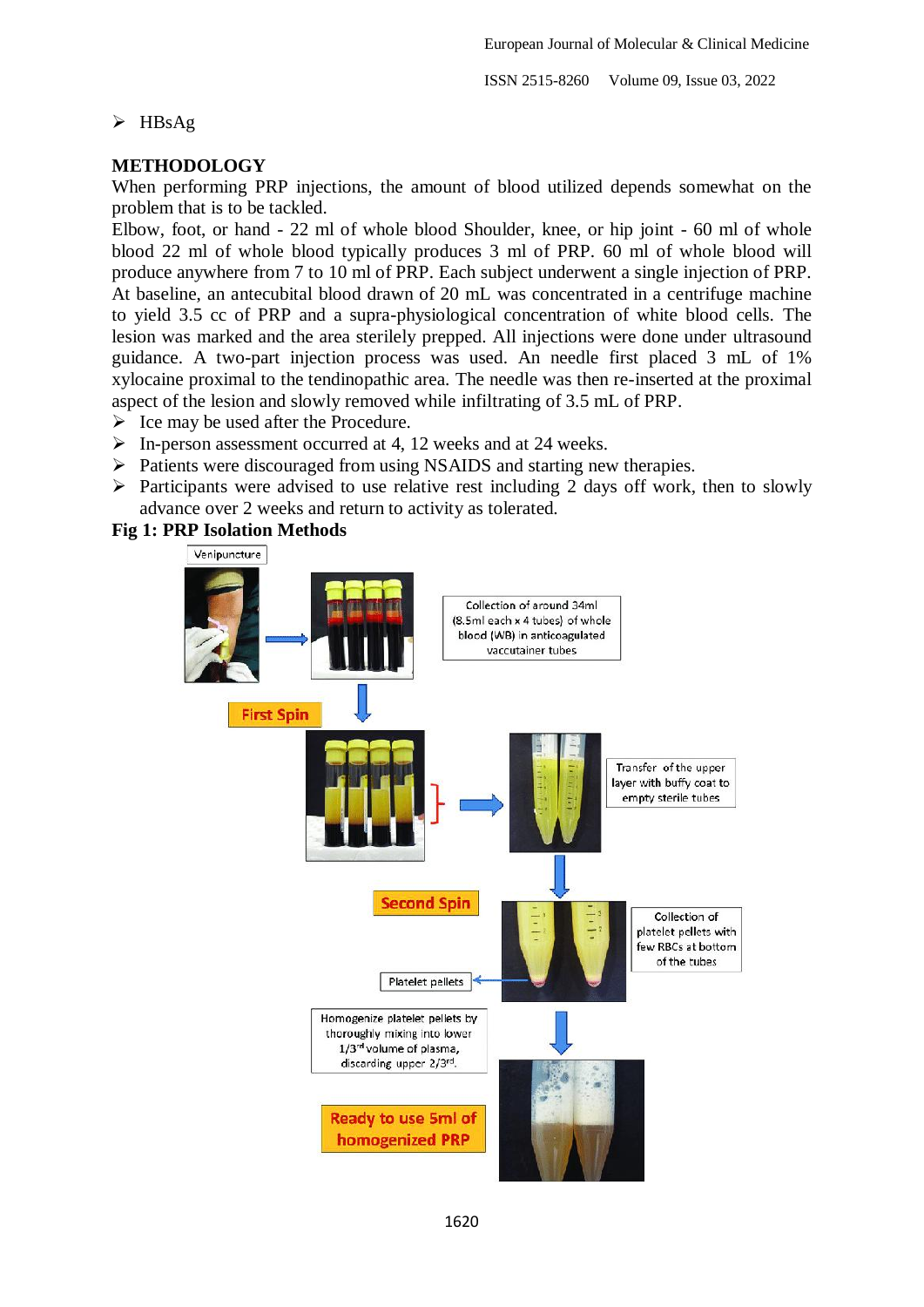### $\triangleright$  HBsAg

### **METHODOLOGY**

When performing PRP injections, the amount of blood utilized depends somewhat on the problem that is to be tackled.

Elbow, foot, or hand - 22 ml of whole blood Shoulder, knee, or hip joint - 60 ml of whole blood 22 ml of whole blood typically produces 3 ml of PRP. 60 ml of whole blood will produce anywhere from 7 to 10 ml of PRP. Each subject underwent a single injection of PRP. At baseline, an antecubital blood drawn of 20 mL was concentrated in a centrifuge machine to yield 3.5 cc of PRP and a supra-physiological concentration of white blood cells. The lesion was marked and the area sterilely prepped. All injections were done under ultrasound guidance. A two-part injection process was used. An needle first placed 3 mL of 1% xylocaine proximal to the tendinopathic area. The needle was then re-inserted at the proximal aspect of the lesion and slowly removed while infiltrating of 3.5 mL of PRP.

- $\triangleright$  Ice may be used after the Procedure.
- $\triangleright$  In-person assessment occurred at 4, 12 weeks and at 24 weeks.
- $\triangleright$  Patients were discouraged from using NSAIDS and starting new therapies.
- $\triangleright$  Participants were advised to use relative rest including 2 days off work, then to slowly advance over 2 weeks and return to activity as tolerated.

#### **Fig 1: PRP Isolation Methods**

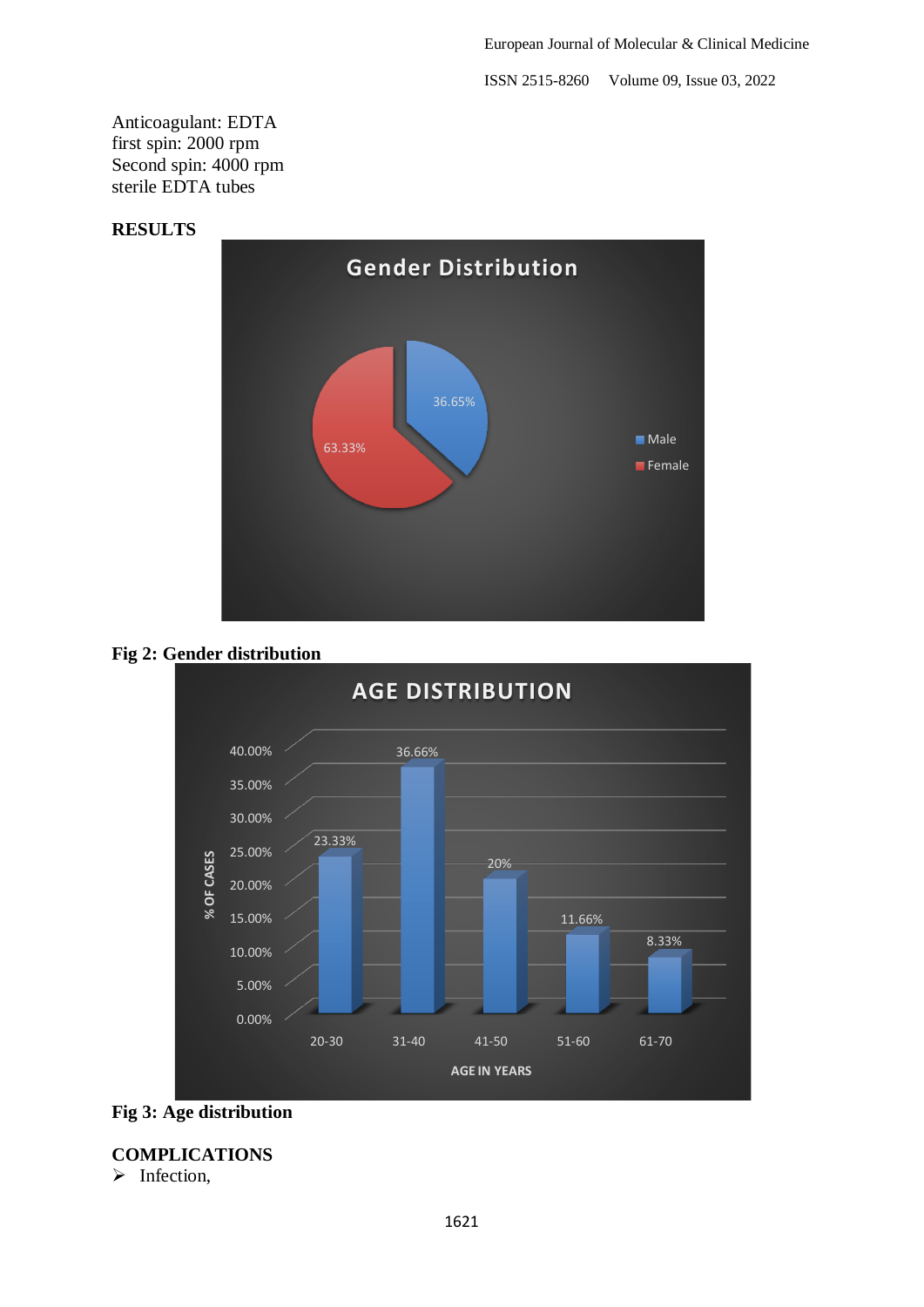Anticoagulant: EDTA first spin: 2000 rpm Second spin: 4000 rpm sterile EDTA tubes

### **RESULTS**







**Fig 3: Age distribution**

# **COMPLICATIONS**

 $\triangleright$  Infection,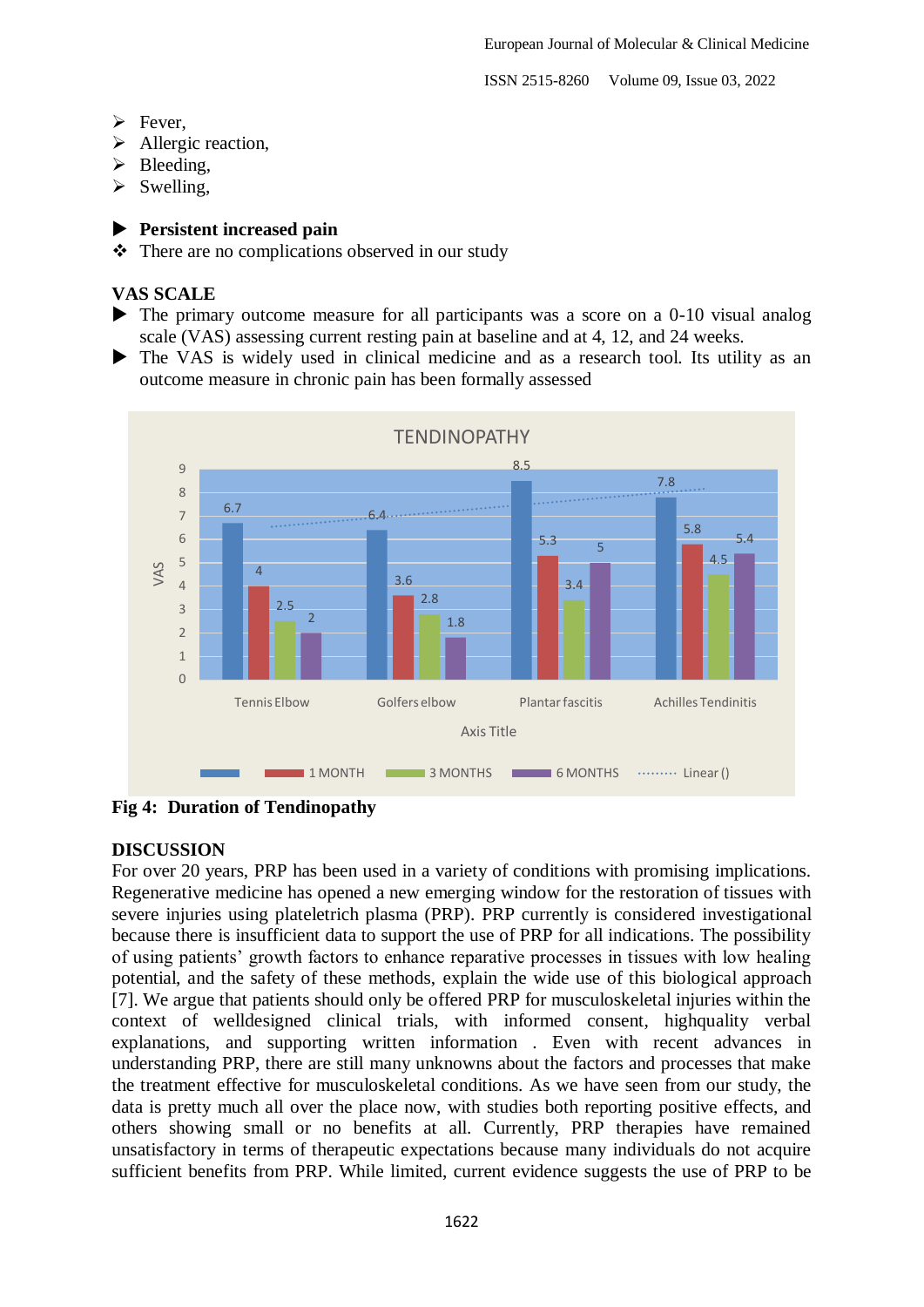- $\triangleright$  Fever.
- > Allergic reaction,
- $\triangleright$  Bleeding,
- $\triangleright$  Swelling,

### **Persistent increased pain**

 $\triangle$  There are no complications observed in our study

# **VAS SCALE**

- The primary outcome measure for all participants was a score on a 0-10 visual analog scale (VAS) assessing current resting pain at baseline and at 4, 12, and 24 weeks.
- The VAS is widely used in clinical medicine and as a research tool. Its utility as an outcome measure in chronic pain has been formally assessed



**Fig 4: Duration of Tendinopathy**

### **DISCUSSION**

For over 20 years, PRP has been used in a variety of conditions with promising implications. Regenerative medicine has opened a new emerging window for the restoration of tissues with severe injuries using plateletrich plasma (PRP). PRP currently is considered investigational because there is insufficient data to support the use of PRP for all indications. The possibility of using patients' growth factors to enhance reparative processes in tissues with low healing potential, and the safety of these methods, explain the wide use of this biological approach [7]. We argue that patients should only be offered PRP for musculoskeletal injuries within the context of welldesigned clinical trials, with informed consent, highquality verbal explanations, and supporting written information . Even with recent advances in understanding PRP, there are still many unknowns about the factors and processes that make the treatment effective for musculoskeletal conditions. As we have seen from our study, the data is pretty much all over the place now, with studies both reporting positive effects, and others showing small or no benefits at all. Currently, PRP therapies have remained unsatisfactory in terms of therapeutic expectations because many individuals do not acquire sufficient benefits from PRP. While limited, current evidence suggests the use of PRP to be